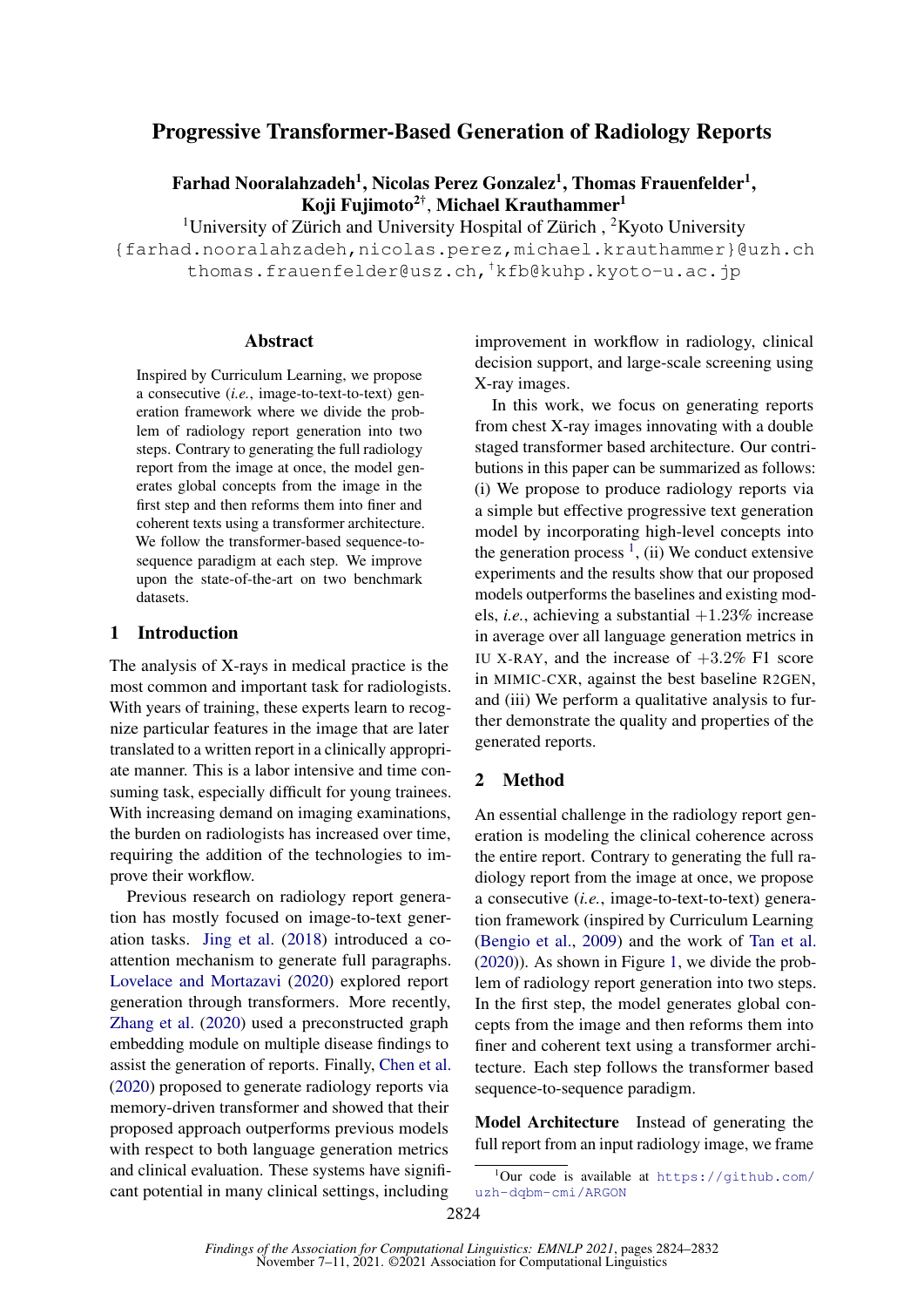# Progressive Transformer-Based Generation of Radiology Reports

Farhad Nooralahzadeh<sup>1</sup>, Nicolas Perez Gonzalez<sup>1</sup>, Thomas Frauenfelder<sup>1</sup>, Koji Fujimoto<sup>2†</sup>, Michael Krauthammer<sup>1</sup>

<sup>1</sup>University of Zürich and University Hospital of Zürich,  ${}^{2}$ Kyoto University {farhad.nooralahzadeh,nicolas.perez,michael.krauthammer}@uzh.ch thomas.frauenfelder@usz.ch,†kfb@kuhp.kyoto-u.ac.jp

# Abstract

Inspired by Curriculum Learning, we propose a consecutive (*i.e.*, image-to-text-to-text) generation framework where we divide the problem of radiology report generation into two steps. Contrary to generating the full radiology report from the image at once, the model generates global concepts from the image in the first step and then reforms them into finer and coherent texts using a transformer architecture. We follow the transformer-based sequence-tosequence paradigm at each step. We improve upon the state-of-the-art on two benchmark datasets.

## 1 Introduction

The analysis of X-rays in medical practice is the most common and important task for radiologists. With years of training, these experts learn to recognize particular features in the image that are later translated to a written report in a clinically appropriate manner. This is a labor intensive and time consuming task, especially difficult for young trainees. With increasing demand on imaging examinations, the burden on radiologists has increased over time, requiring the addition of the technologies to improve their workflow.

Previous research on radiology report generation has mostly focused on image-to-text generation tasks. [Jing et al.](#page-5-0) [\(2018\)](#page-5-0) introduced a coattention mechanism to generate full paragraphs. [Lovelace and Mortazavi](#page-5-1) [\(2020\)](#page-5-1) explored report generation through transformers. More recently, [Zhang et al.](#page-5-2) [\(2020\)](#page-5-2) used a preconstructed graph embedding module on multiple disease findings to assist the generation of reports. Finally, [Chen et al.](#page-4-0) [\(2020\)](#page-4-0) proposed to generate radiology reports via memory-driven transformer and showed that their proposed approach outperforms previous models with respect to both language generation metrics and clinical evaluation. These systems have significant potential in many clinical settings, including

improvement in workflow in radiology, clinical decision support, and large-scale screening using X-ray images.

In this work, we focus on generating reports from chest X-ray images innovating with a double staged transformer based architecture. Our contributions in this paper can be summarized as follows: (i) We propose to produce radiology reports via a simple but effective progressive text generation model by incorporating high-level concepts into the generation process  $<sup>1</sup>$  $<sup>1</sup>$  $<sup>1</sup>$ , (ii) We conduct extensive</sup> experiments and the results show that our proposed models outperforms the baselines and existing models, *i.e.*, achieving a substantial  $+1.23\%$  increase in average over all language generation metrics in IU X-RAY, and the increase of  $+3.2\%$  F1 score in MIMIC-CXR, against the best baseline R2GEN, and (iii) We perform a qualitative analysis to further demonstrate the quality and properties of the generated reports.

# 2 Method

An essential challenge in the radiology report generation is modeling the clinical coherence across the entire report. Contrary to generating the full radiology report from the image at once, we propose a consecutive (*i.e.*, image-to-text-to-text) generation framework (inspired by Curriculum Learning [\(Bengio et al.,](#page-4-1) [2009\)](#page-4-1) and the work of [Tan et al.](#page-5-3) [\(2020\)](#page-5-3)). As shown in Figure [1,](#page-1-0) we divide the problem of radiology report generation into two steps. In the first step, the model generates global concepts from the image and then reforms them into finer and coherent text using a transformer architecture. Each step follows the transformer based sequence-to-sequence paradigm.

Model Architecture Instead of generating the full report from an input radiology image, we frame

<span id="page-0-0"></span> $1$ Our code is available at [https://github.com/](https://github.com/uzh-dqbm-cmi/ARGON) [uzh-dqbm-cmi/ARGON](https://github.com/uzh-dqbm-cmi/ARGON)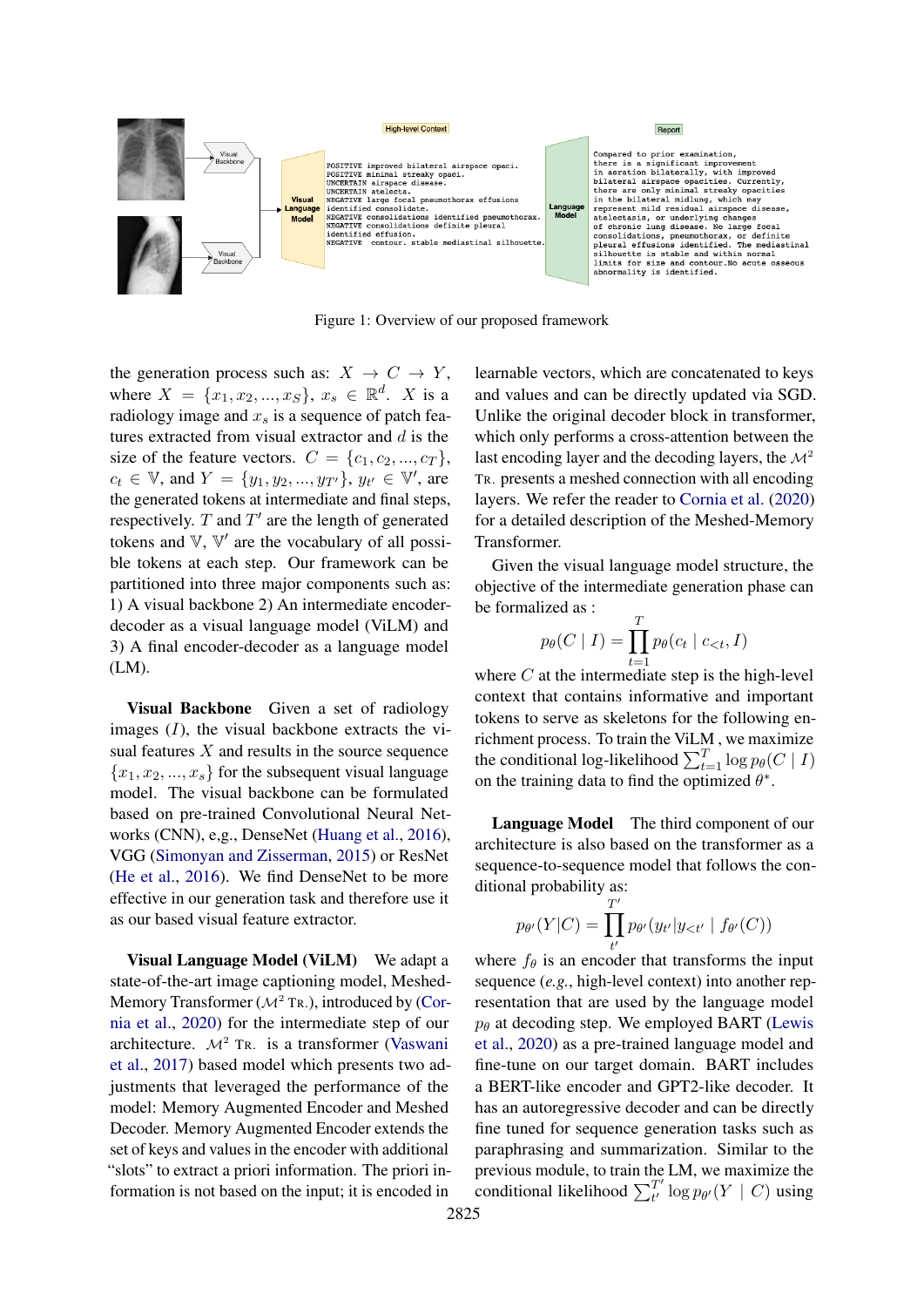<span id="page-1-0"></span>

Figure 1: Overview of our proposed framework

the generation process such as:  $X \to C \to Y$ , where  $X = \{x_1, x_2, ..., x_S\}, x_s \in \mathbb{R}^d$ . X is a radiology image and  $x_s$  is a sequence of patch features extracted from visual extractor and  $d$  is the size of the feature vectors.  $C = \{c_1, c_2, ..., c_T\},\$  $c_t \in \mathbb{V}$ , and  $Y = \{y_1, y_2, ..., y_{T'}\}$ ,  $y_{t'} \in \mathbb{V}'$ , are the generated tokens at intermediate and final steps, respectively.  $T$  and  $T'$  are the length of generated tokens and  $V$ ,  $V'$  are the vocabulary of all possible tokens at each step. Our framework can be partitioned into three major components such as: 1) A visual backbone 2) An intermediate encoderdecoder as a visual language model (ViLM) and 3) A final encoder-decoder as a language model (LM).

Visual Backbone Given a set of radiology images  $(I)$ , the visual backbone extracts the visual features  $X$  and results in the source sequence  ${x_1, x_2, ..., x_s}$  for the subsequent visual language model. The visual backbone can be formulated based on pre-trained Convolutional Neural Networks (CNN), e,g., DenseNet [\(Huang et al.,](#page-5-4) [2016\)](#page-5-4), VGG [\(Simonyan and Zisserman,](#page-5-5) [2015\)](#page-5-5) or ResNet [\(He et al.,](#page-4-2) [2016\)](#page-4-2). We find DenseNet to be more effective in our generation task and therefore use it as our based visual feature extractor.

Visual Language Model (ViLM) We adapt a state-of-the-art image captioning model, Meshed-Memory Transformer ( $\mathcal{M}^2$  Tr.), introduced by [\(Cor](#page-4-3)[nia et al.,](#page-4-3) [2020\)](#page-4-3) for the intermediate step of our architecture.  $\mathcal{M}^2$  TR. is a transformer [\(Vaswani](#page-5-6) [et al.,](#page-5-6) [2017\)](#page-5-6) based model which presents two adjustments that leveraged the performance of the model: Memory Augmented Encoder and Meshed Decoder. Memory Augmented Encoder extends the set of keys and values in the encoder with additional "slots" to extract a priori information. The priori information is not based on the input; it is encoded in

learnable vectors, which are concatenated to keys and values and can be directly updated via SGD. Unlike the original decoder block in transformer, which only performs a cross-attention between the last encoding layer and the decoding layers, the  $\mathcal{M}^2$ TR. presents a meshed connection with all encoding layers. We refer the reader to [Cornia et al.](#page-4-3) [\(2020\)](#page-4-3) for a detailed description of the Meshed-Memory Transformer.

Given the visual language model structure, the objective of the intermediate generation phase can be formalized as :  $\overline{f}$ 

$$
p_{\theta}(C \mid I) = \prod_{t=1}^{I} p_{\theta}(c_t \mid c_{< t}, I)
$$

where C at the intermediate step is the high-level context that contains informative and important tokens to serve as skeletons for the following enrichment process. To train the ViLM , we maximize the conditional log-likelihood  $\sum_{t=1}^{T} \log p_{\theta}(C | I)$ on the training data to find the optimized  $\theta^*$ .

Language Model The third component of our architecture is also based on the transformer as a sequence-to-sequence model that follows the conditional probability as:

$$
p_{\theta'}(Y|C) = \prod_{t'}^{T'} p_{\theta'}(y_{t'}|y_{<}t'} | f_{\theta'}(C))
$$

where  $f_{\theta}$  is an encoder that transforms the input sequence (*e.g.*, high-level context) into another representation that are used by the language model  $p_{\theta}$  at decoding step. We employed BART [\(Lewis](#page-5-7) [et al.,](#page-5-7) [2020\)](#page-5-7) as a pre-trained language model and fine-tune on our target domain. BART includes a BERT-like encoder and GPT2-like decoder. It has an autoregressive decoder and can be directly fine tuned for sequence generation tasks such as paraphrasing and summarization. Similar to the previous module, to train the LM, we maximize the conditional likelihood  $\sum_{t}^{T'}$  $\frac{T}{t'}\log p_{\theta'}(Y \mid C)$  using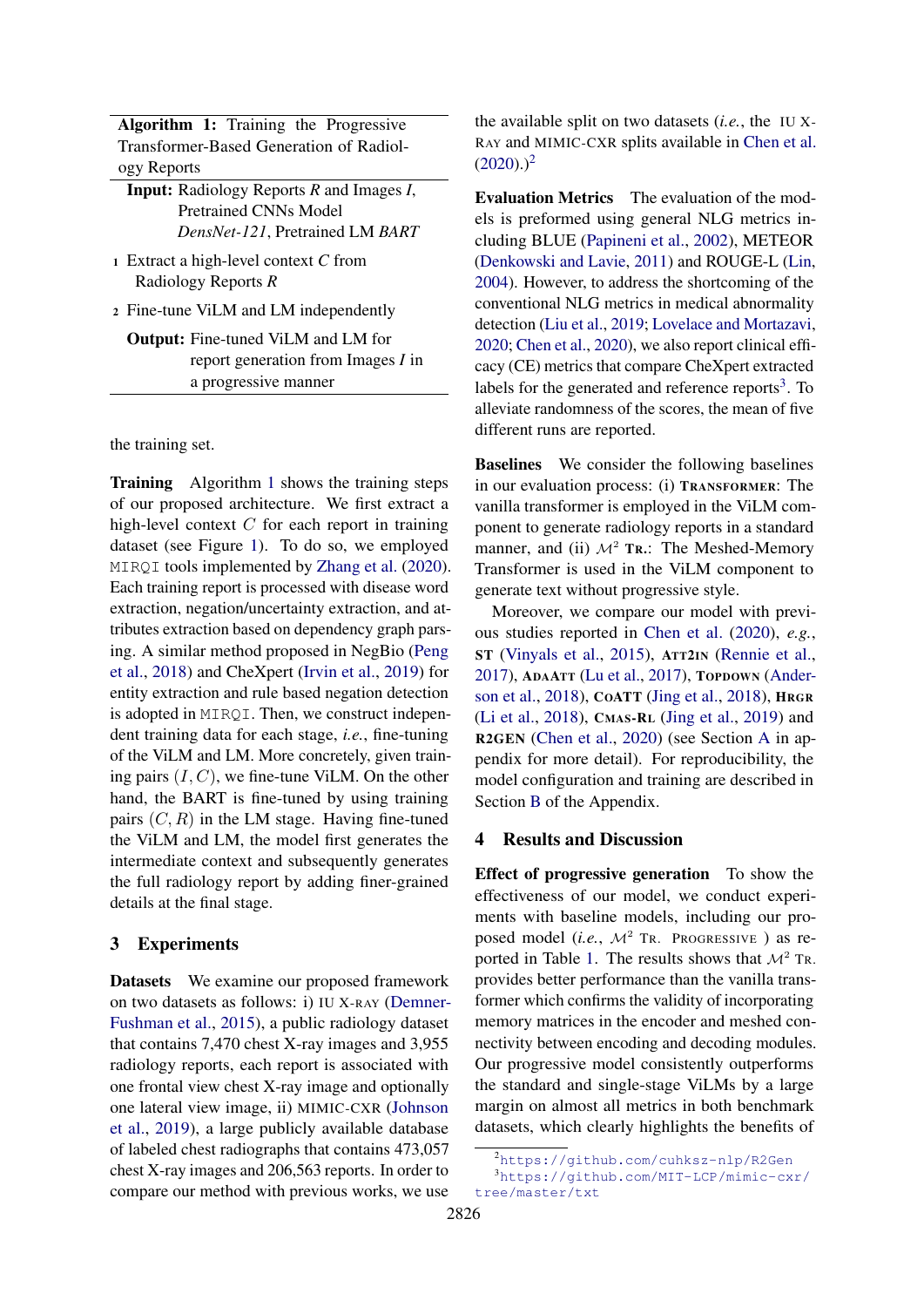|             |  | <b>Algorithm 1:</b> Training the Progressive |
|-------------|--|----------------------------------------------|
|             |  | Transformer-Based Generation of Radiol-      |
| ogy Reports |  |                                              |

Input: Radiology Reports *R* and Images *I*, Pretrained CNNs Model *DensNet-121*, Pretrained LM *BART*

<sup>1</sup> Extract a high-level context *C* from Radiology Reports *R*

<sup>2</sup> Fine-tune ViLM and LM independently

Output: Fine-tuned ViLM and LM for report generation from Images *I* in a progressive manner

<span id="page-2-0"></span>the training set.

Training Algorithm [1](#page-2-0) shows the training steps of our proposed architecture. We first extract a high-level context  $C$  for each report in training dataset (see Figure [1\)](#page-1-0). To do so, we employed MIRQI tools implemented by [Zhang et al.](#page-5-2) [\(2020\)](#page-5-2). Each training report is processed with disease word extraction, negation/uncertainty extraction, and attributes extraction based on dependency graph parsing. A similar method proposed in NegBio [\(Peng](#page-5-8) [et al.,](#page-5-8) [2018\)](#page-5-8) and CheXpert [\(Irvin et al.,](#page-5-9) [2019\)](#page-5-9) for entity extraction and rule based negation detection is adopted in MIRQI. Then, we construct independent training data for each stage, *i.e.*, fine-tuning of the ViLM and LM. More concretely, given training pairs  $(I, C)$ , we fine-tune ViLM. On the other hand, the BART is fine-tuned by using training pairs  $(C, R)$  in the LM stage. Having fine-tuned the ViLM and LM, the model first generates the intermediate context and subsequently generates the full radiology report by adding finer-grained details at the final stage.

### 3 Experiments

Datasets We examine our proposed framework on two datasets as follows: i) IU X-RAY [\(Demner-](#page-4-4)[Fushman et al.,](#page-4-4) [2015\)](#page-4-4), a public radiology dataset that contains 7,470 chest X-ray images and 3,955 radiology reports, each report is associated with one frontal view chest X-ray image and optionally one lateral view image, ii) MIMIC-CXR [\(Johnson](#page-5-10) [et al.,](#page-5-10) [2019\)](#page-5-10), a large publicly available database of labeled chest radiographs that contains 473,057 chest X-ray images and 206,563 reports. In order to compare our method with previous works, we use

the available split on two datasets (*i.e.*, the IU X-RAY and MIMIC-CXR splits available in [Chen et al.](#page-4-0)  $(2020).$  $(2020).$ <sup>[2](#page-2-1)</sup>

Evaluation Metrics The evaluation of the models is preformed using general NLG metrics including BLUE [\(Papineni et al.,](#page-5-11) [2002\)](#page-5-11), METEOR [\(Denkowski and Lavie,](#page-4-5) [2011\)](#page-4-5) and ROUGE-L [\(Lin,](#page-5-12) [2004\)](#page-5-12). However, to address the shortcoming of the conventional NLG metrics in medical abnormality detection [\(Liu et al.,](#page-5-13) [2019;](#page-5-13) [Lovelace and Mortazavi,](#page-5-1) [2020;](#page-5-1) [Chen et al.,](#page-4-0) [2020\)](#page-4-0), we also report clinical efficacy (CE) metrics that compare CheXpert extracted labels for the generated and reference reports<sup>[3](#page-2-2)</sup>. To alleviate randomness of the scores, the mean of five different runs are reported.

Baselines We consider the following baselines in our evaluation process: (i) TRANSFORMER: The vanilla transformer is employed in the ViLM component to generate radiology reports in a standard manner, and (ii)  $\mathcal{M}^2$  Tr.: The Meshed-Memory Transformer is used in the ViLM component to generate text without progressive style.

Moreover, we compare our model with previous studies reported in [Chen et al.](#page-4-0) [\(2020\)](#page-4-0), *e.g.*, ST [\(Vinyals et al.,](#page-5-14) [2015\)](#page-5-14), ATT2IN [\(Rennie et al.,](#page-5-15) [2017\)](#page-5-15), ADAATT [\(Lu et al.,](#page-5-16) [2017\)](#page-5-16), TOPDOWN [\(Ander](#page-4-6)[son et al.,](#page-4-6) [2018\)](#page-4-6), COATT [\(Jing et al.,](#page-5-0) [2018\)](#page-5-0), HRGR [\(Li et al.,](#page-5-17) [2018\)](#page-5-17), CMAS-R<sup>L</sup> [\(Jing et al.,](#page-5-18) [2019\)](#page-5-18) and R2GEN [\(Chen et al.,](#page-4-0) [2020\)](#page-4-0) (see Section [A](#page-6-0) in appendix for more detail). For reproducibility, the model configuration and training are described in Section [B](#page-6-1) of the Appendix.

#### 4 Results and Discussion

Effect of progressive generation To show the effectiveness of our model, we conduct experiments with baseline models, including our proposed model (*i.e.*,  $\mathcal{M}^2$  TR. PROGRESSIVE ) as re-ported in Table [1.](#page-3-0) The results shows that  $\mathcal{M}^2$  TR. provides better performance than the vanilla transformer which confirms the validity of incorporating memory matrices in the encoder and meshed connectivity between encoding and decoding modules. Our progressive model consistently outperforms the standard and single-stage ViLMs by a large margin on almost all metrics in both benchmark datasets, which clearly highlights the benefits of

<span id="page-2-2"></span><span id="page-2-1"></span><sup>2</sup><https://github.com/cuhksz-nlp/R2Gen>

<sup>3</sup>[https://github.com/MIT-LCP/mimic-cxr/](https://github.com/MIT-LCP/mimic-cxr/tree/master/txt) [tree/master/txt](https://github.com/MIT-LCP/mimic-cxr/tree/master/txt)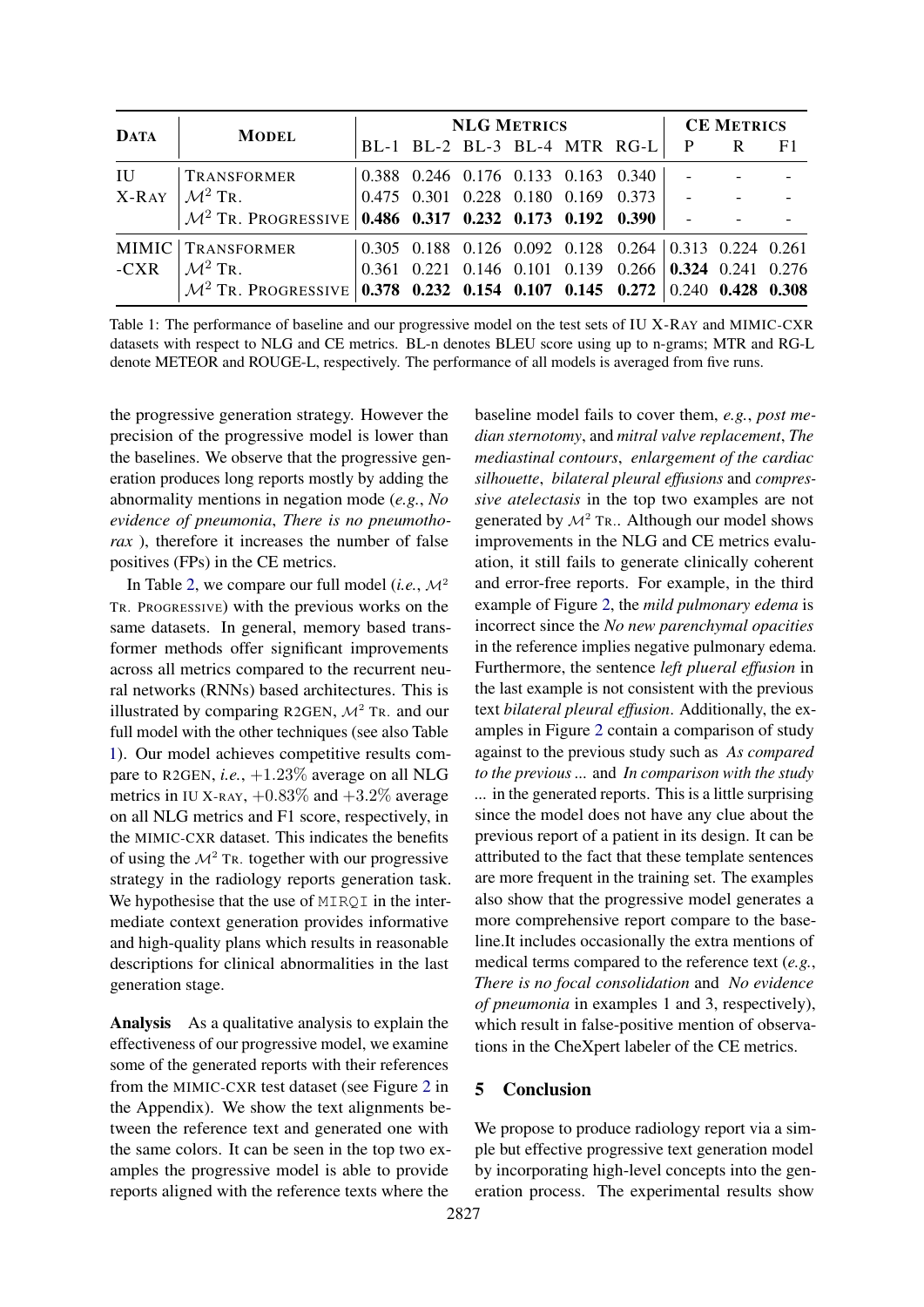<span id="page-3-0"></span>

|             | <b>MODEL</b>                                                                          | <b>NLG METRICS</b> |  |  |  |  |                                                                         | <b>CE METRICS</b> |  |                |
|-------------|---------------------------------------------------------------------------------------|--------------------|--|--|--|--|-------------------------------------------------------------------------|-------------------|--|----------------|
| <b>DATA</b> |                                                                                       |                    |  |  |  |  | BL-1 BL-2 BL-3 BL-4 MTR RG-L                                            | $\mathbf{P}$      |  | F <sub>1</sub> |
| IU          | <b>TRANSFORMER</b>                                                                    |                    |  |  |  |  | 0.388 0.246 0.176 0.133 0.163 0.340                                     |                   |  |                |
|             | $X-RAY \mid M^2 TR$ .                                                                 |                    |  |  |  |  | $0.475$ 0.301 0.228 0.180 0.169 0.373                                   |                   |  |                |
|             | $\mathcal{M}^2$ Tr. Progressive 0.486 0.317 0.232 0.173 0.192 0.390                   |                    |  |  |  |  |                                                                         |                   |  |                |
|             | MIMIC TRANSFORMER                                                                     |                    |  |  |  |  | $0.305$ $0.188$ $0.126$ $0.092$ $0.128$ $0.264$ $0.313$ $0.224$ $0.261$ |                   |  |                |
|             | $-CXR$ $ \mathcal{M}^2 TR$ .                                                          |                    |  |  |  |  | $0.361$ $0.221$ $0.146$ $0.101$ $0.139$ $0.266$ $0.324$ $0.241$ $0.276$ |                   |  |                |
|             | $\mathcal{M}^2$ Tr. Progressive 0.378 0.232 0.154 0.107 0.145 0.272 0.240 0.428 0.308 |                    |  |  |  |  |                                                                         |                   |  |                |

Table 1: The performance of baseline and our progressive model on the test sets of IU X-RAY and MIMIC-CXR datasets with respect to NLG and CE metrics. BL-n denotes BLEU score using up to n-grams; MTR and RG-L denote METEOR and ROUGE-L, respectively. The performance of all models is averaged from five runs.

the progressive generation strategy. However the precision of the progressive model is lower than the baselines. We observe that the progressive generation produces long reports mostly by adding the abnormality mentions in negation mode (*e.g.*, *No evidence of pneumonia*, *There is no pneumothorax* ), therefore it increases the number of false positives (FPs) in the CE metrics.

In Table [2,](#page-4-7) we compare our full model (*i.e.*,  $\mathcal{M}^2$ TR. PROGRESSIVE) with the previous works on the same datasets. In general, memory based transformer methods offer significant improvements across all metrics compared to the recurrent neural networks (RNNs) based architectures. This is illustrated by comparing R2GEN,  $\mathcal{M}^2$  TR. and our full model with the other techniques (see also Table [1\)](#page-3-0). Our model achieves competitive results compare to R2GEN, *i.e.*, +1.23% average on all NLG metrics in IU X-RAY,  $+0.83\%$  and  $+3.2\%$  average on all NLG metrics and F1 score, respectively, in the MIMIC-CXR dataset. This indicates the benefits of using the  $\mathcal{M}^2$  TR. together with our progressive strategy in the radiology reports generation task. We hypothesise that the use of MIRQI in the intermediate context generation provides informative and high-quality plans which results in reasonable descriptions for clinical abnormalities in the last generation stage.

Analysis As a qualitative analysis to explain the effectiveness of our progressive model, we examine some of the generated reports with their references from the MIMIC-CXR test dataset (see Figure [2](#page-8-0) in the Appendix). We show the text alignments between the reference text and generated one with the same colors. It can be seen in the top two examples the progressive model is able to provide reports aligned with the reference texts where the

baseline model fails to cover them, *e.g.*, *post median sternotomy*, and *mitral valve replacement*, *The mediastinal contours*, *enlargement of the cardiac silhouette*, *bilateral pleural effusions* and *compressive atelectasis* in the top two examples are not generated by  $\mathcal{M}^2$  Tr.. Although our model shows improvements in the NLG and CE metrics evaluation, it still fails to generate clinically coherent and error-free reports. For example, in the third example of Figure [2,](#page-8-0) the *mild pulmonary edema* is incorrect since the *No new parenchymal opacities* in the reference implies negative pulmonary edema. Furthermore, the sentence *left plueral effusion* in the last example is not consistent with the previous text *bilateral pleural effusion*. Additionally, the examples in Figure [2](#page-8-0) contain a comparison of study against to the previous study such as *As compared to the previous ...* and *In comparison with the study ...* in the generated reports. This is a little surprising since the model does not have any clue about the previous report of a patient in its design. It can be attributed to the fact that these template sentences are more frequent in the training set. The examples also show that the progressive model generates a more comprehensive report compare to the baseline.It includes occasionally the extra mentions of medical terms compared to the reference text (*e.g.*, *There is no focal consolidation* and *No evidence of pneumonia* in examples 1 and 3, respectively), which result in false-positive mention of observations in the CheXpert labeler of the CE metrics.

# 5 Conclusion

We propose to produce radiology report via a simple but effective progressive text generation model by incorporating high-level concepts into the generation process. The experimental results show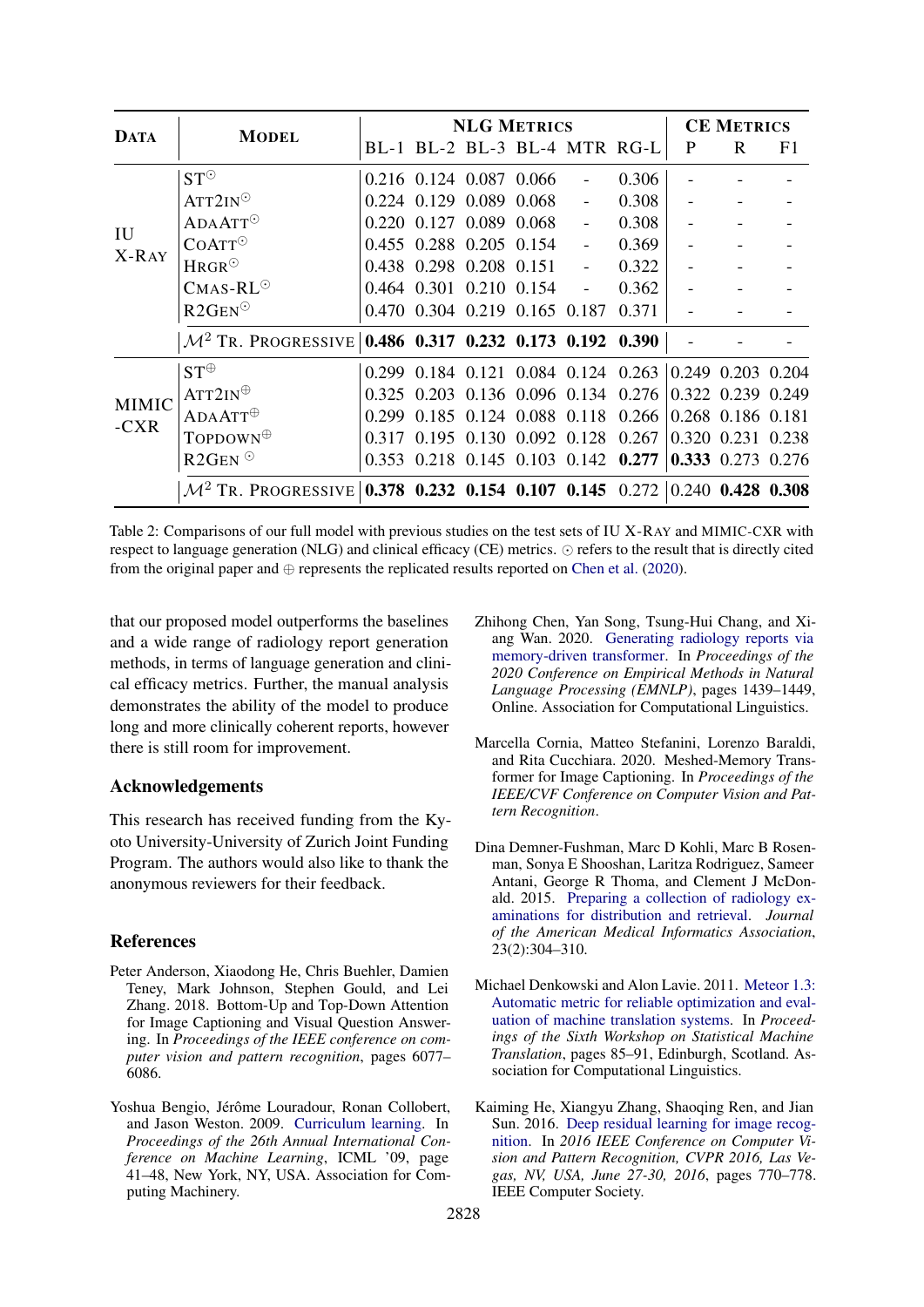<span id="page-4-7"></span>

|                        | <b>MODEL</b>                                                                          | <b>NLG METRICS</b> |                               |  |  |                                                       |       |   | <b>CE METRICS</b> |    |  |
|------------------------|---------------------------------------------------------------------------------------|--------------------|-------------------------------|--|--|-------------------------------------------------------|-------|---|-------------------|----|--|
| <b>DATA</b>            |                                                                                       |                    |                               |  |  | BL-1 BL-2 BL-3 BL-4 MTR RG-L                          |       | P | R                 | F1 |  |
| IU<br>X-RAY            | $ST^{\odot}$                                                                          |                    | 0.216 0.124 0.087 0.066       |  |  |                                                       | 0.306 |   |                   |    |  |
|                        | $ATT2IN^{\odot}$                                                                      |                    | 0.224 0.129 0.089 0.068       |  |  |                                                       | 0.308 |   |                   |    |  |
|                        | $ADAATT$ <sup>O</sup>                                                                 |                    | 0.220 0.127 0.089 0.068       |  |  | $\blacksquare$                                        | 0.308 |   |                   |    |  |
|                        | COATT <sup>°</sup>                                                                    |                    | 0.455 0.288 0.205 0.154       |  |  | $\mathbf{r}$                                          | 0.369 |   |                   |    |  |
|                        | $HRGR^{\odot}$                                                                        |                    | 0.438 0.298 0.208 0.151       |  |  | $\omega$                                              | 0.322 |   |                   |    |  |
|                        | $CMAS-RL^{\odot}$                                                                     |                    | 0.464 0.301 0.210 0.154       |  |  | $\blacksquare$                                        | 0.362 |   |                   |    |  |
|                        | $R2GEN^{\odot}$                                                                       |                    | 0.470 0.304 0.219 0.165 0.187 |  |  |                                                       | 0.371 |   |                   |    |  |
|                        | $\mathcal{M}^2$ Tr. Progressive                                                       |                    |                               |  |  | 0.486 0.317 0.232 0.173 0.192 0.390                   |       |   |                   |    |  |
| <b>MIMIC</b><br>$-CXR$ | $ST^{\oplus}$                                                                         |                    |                               |  |  | 0.299 0.184 0.121 0.084 0.124 0.263 0.249 0.203 0.204 |       |   |                   |    |  |
|                        | $ATT2IN^{\oplus}$                                                                     |                    |                               |  |  | 0.325 0.203 0.136 0.096 0.134 0.276                   |       |   | 0.322 0.239 0.249 |    |  |
|                        | $ADAATT^{\oplus}$                                                                     | 0.299              |                               |  |  | 0.185 0.124 0.088 0.118 0.266                         |       |   | 0.268 0.186 0.181 |    |  |
|                        | To <b>POOWN</b>                                                                       | 0.317              |                               |  |  | $0.195$ $0.130$ $0.092$ $0.128$ $0.267$               |       |   | 0.320 0.231 0.238 |    |  |
|                        | $R2GEN$ <sup>O</sup>                                                                  |                    |                               |  |  | 0.353 0.218 0.145 0.103 0.142 0.277                   |       |   | 0.333 0.273 0.276 |    |  |
|                        | $\mathcal{M}^2$ Tr. Progressive 0.378 0.232 0.154 0.107 0.145 0.272 0.240 0.428 0.308 |                    |                               |  |  |                                                       |       |   |                   |    |  |

Table 2: Comparisons of our full model with previous studies on the test sets of IU X-RAY and MIMIC-CXR with respect to language generation (NLG) and clinical efficacy (CE) metrics.  $\odot$  refers to the result that is directly cited from the original paper and  $\oplus$  represents the replicated results reported on [Chen et al.](#page-4-0) [\(2020\)](#page-4-0).

that our proposed model outperforms the baselines and a wide range of radiology report generation methods, in terms of language generation and clinical efficacy metrics. Further, the manual analysis demonstrates the ability of the model to produce long and more clinically coherent reports, however there is still room for improvement.

### Acknowledgements

This research has received funding from the Kyoto University-University of Zurich Joint Funding Program. The authors would also like to thank the anonymous reviewers for their feedback.

## References

- <span id="page-4-6"></span>Peter Anderson, Xiaodong He, Chris Buehler, Damien Teney, Mark Johnson, Stephen Gould, and Lei Zhang. 2018. Bottom-Up and Top-Down Attention for Image Captioning and Visual Question Answering. In *Proceedings of the IEEE conference on computer vision and pattern recognition*, pages 6077– 6086.
- <span id="page-4-1"></span>Yoshua Bengio, Jérôme Louradour, Ronan Collobert, and Jason Weston. 2009. [Curriculum learning.](https://doi.org/10.1145/1553374.1553380) In *Proceedings of the 26th Annual International Conference on Machine Learning*, ICML '09, page 41–48, New York, NY, USA. Association for Computing Machinery.
- <span id="page-4-0"></span>Zhihong Chen, Yan Song, Tsung-Hui Chang, and Xiang Wan. 2020. [Generating radiology reports via](https://doi.org/10.18653/v1/2020.emnlp-main.112) [memory-driven transformer.](https://doi.org/10.18653/v1/2020.emnlp-main.112) In *Proceedings of the 2020 Conference on Empirical Methods in Natural Language Processing (EMNLP)*, pages 1439–1449, Online. Association for Computational Linguistics.
- <span id="page-4-3"></span>Marcella Cornia, Matteo Stefanini, Lorenzo Baraldi, and Rita Cucchiara. 2020. Meshed-Memory Transformer for Image Captioning. In *Proceedings of the IEEE/CVF Conference on Computer Vision and Pattern Recognition*.
- <span id="page-4-4"></span>Dina Demner-Fushman, Marc D Kohli, Marc B Rosenman, Sonya E Shooshan, Laritza Rodriguez, Sameer Antani, George R Thoma, and Clement J McDonald. 2015. [Preparing a collection of radiology ex](https://doi.org/10.1093/jamia/ocv080)[aminations for distribution and retrieval.](https://doi.org/10.1093/jamia/ocv080) *Journal of the American Medical Informatics Association*, 23(2):304–310.
- <span id="page-4-5"></span>Michael Denkowski and Alon Lavie. 2011. [Meteor 1.3:](https://www.aclweb.org/anthology/W11-2107) [Automatic metric for reliable optimization and eval](https://www.aclweb.org/anthology/W11-2107)[uation of machine translation systems.](https://www.aclweb.org/anthology/W11-2107) In *Proceedings of the Sixth Workshop on Statistical Machine Translation*, pages 85–91, Edinburgh, Scotland. Association for Computational Linguistics.
- <span id="page-4-2"></span>Kaiming He, Xiangyu Zhang, Shaoqing Ren, and Jian Sun. 2016. [Deep residual learning for image recog](https://doi.org/10.1109/CVPR.2016.90)[nition.](https://doi.org/10.1109/CVPR.2016.90) In *2016 IEEE Conference on Computer Vision and Pattern Recognition, CVPR 2016, Las Vegas, NV, USA, June 27-30, 2016*, pages 770–778. IEEE Computer Society.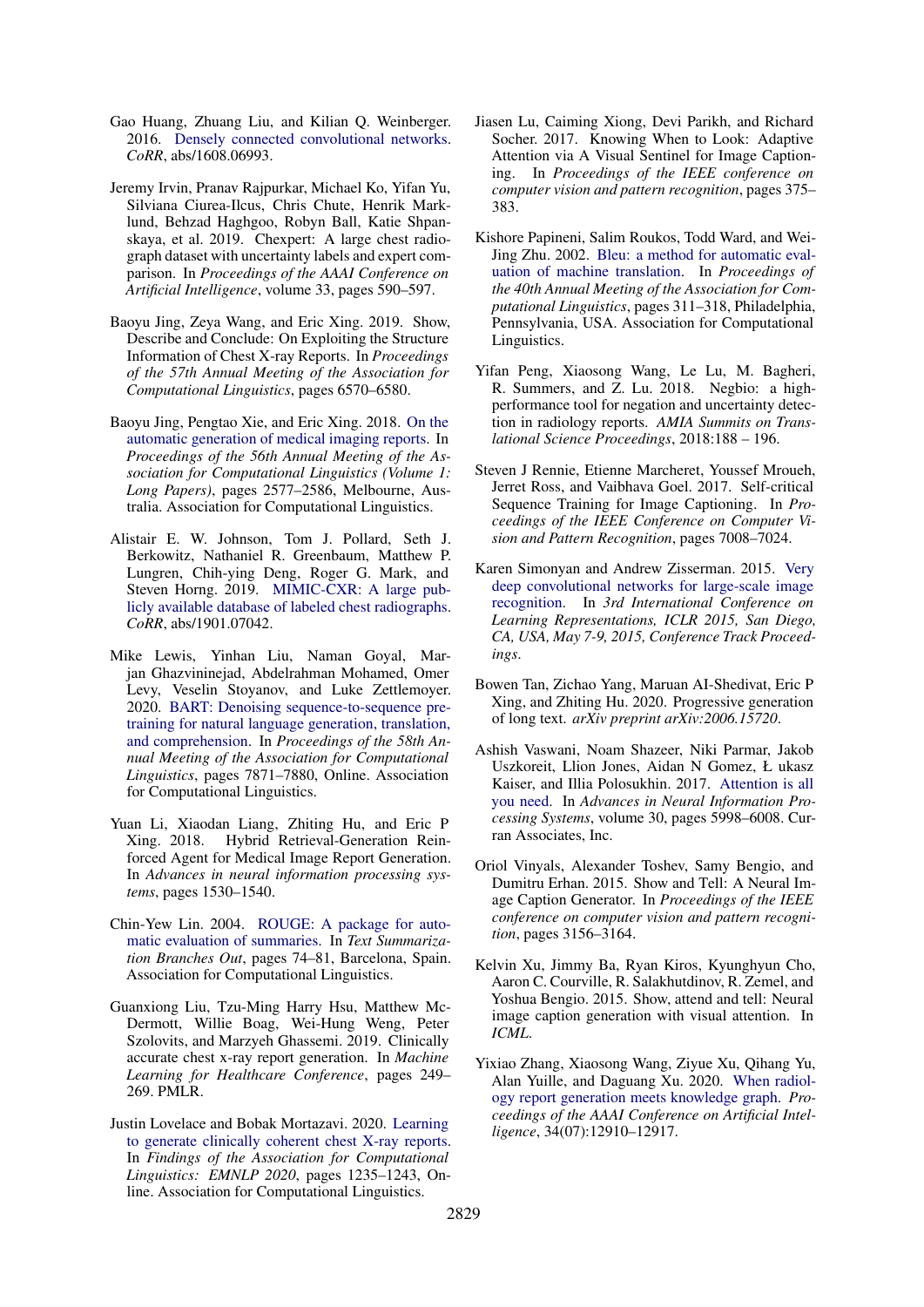- <span id="page-5-4"></span>Gao Huang, Zhuang Liu, and Kilian Q. Weinberger. 2016. [Densely connected convolutional networks.](http://arxiv.org/abs/1608.06993) *CoRR*, abs/1608.06993.
- <span id="page-5-9"></span>Jeremy Irvin, Pranav Rajpurkar, Michael Ko, Yifan Yu, Silviana Ciurea-Ilcus, Chris Chute, Henrik Marklund, Behzad Haghgoo, Robyn Ball, Katie Shpanskaya, et al. 2019. Chexpert: A large chest radiograph dataset with uncertainty labels and expert comparison. In *Proceedings of the AAAI Conference on Artificial Intelligence*, volume 33, pages 590–597.
- <span id="page-5-18"></span>Baoyu Jing, Zeya Wang, and Eric Xing. 2019. Show, Describe and Conclude: On Exploiting the Structure Information of Chest X-ray Reports. In *Proceedings of the 57th Annual Meeting of the Association for Computational Linguistics*, pages 6570–6580.
- <span id="page-5-0"></span>Baoyu Jing, Pengtao Xie, and Eric Xing. 2018. [On the](https://doi.org/10.18653/v1/P18-1240) [automatic generation of medical imaging reports.](https://doi.org/10.18653/v1/P18-1240) In *Proceedings of the 56th Annual Meeting of the Association for Computational Linguistics (Volume 1: Long Papers)*, pages 2577–2586, Melbourne, Australia. Association for Computational Linguistics.
- <span id="page-5-10"></span>Alistair E. W. Johnson, Tom J. Pollard, Seth J. Berkowitz, Nathaniel R. Greenbaum, Matthew P. Lungren, Chih-ying Deng, Roger G. Mark, and Steven Horng. 2019. [MIMIC-CXR: A large pub](http://arxiv.org/abs/1901.07042)[licly available database of labeled chest radiographs.](http://arxiv.org/abs/1901.07042) *CoRR*, abs/1901.07042.
- <span id="page-5-7"></span>Mike Lewis, Yinhan Liu, Naman Goyal, Marjan Ghazvininejad, Abdelrahman Mohamed, Omer Levy, Veselin Stoyanov, and Luke Zettlemoyer. 2020. [BART: Denoising sequence-to-sequence pre](https://doi.org/10.18653/v1/2020.acl-main.703)[training for natural language generation, translation,](https://doi.org/10.18653/v1/2020.acl-main.703) [and comprehension.](https://doi.org/10.18653/v1/2020.acl-main.703) In *Proceedings of the 58th Annual Meeting of the Association for Computational Linguistics*, pages 7871–7880, Online. Association for Computational Linguistics.
- <span id="page-5-17"></span>Yuan Li, Xiaodan Liang, Zhiting Hu, and Eric P Xing. 2018. Hybrid Retrieval-Generation Reinforced Agent for Medical Image Report Generation. In *Advances in neural information processing systems*, pages 1530–1540.
- <span id="page-5-12"></span>Chin-Yew Lin. 2004. [ROUGE: A package for auto](https://www.aclweb.org/anthology/W04-1013)[matic evaluation of summaries.](https://www.aclweb.org/anthology/W04-1013) In *Text Summarization Branches Out*, pages 74–81, Barcelona, Spain. Association for Computational Linguistics.
- <span id="page-5-13"></span>Guanxiong Liu, Tzu-Ming Harry Hsu, Matthew Mc-Dermott, Willie Boag, Wei-Hung Weng, Peter Szolovits, and Marzyeh Ghassemi. 2019. Clinically accurate chest x-ray report generation. In *Machine Learning for Healthcare Conference*, pages 249– 269. PMLR.
- <span id="page-5-1"></span>Justin Lovelace and Bobak Mortazavi. 2020. [Learning](https://doi.org/10.18653/v1/2020.findings-emnlp.110) [to generate clinically coherent chest X-ray reports.](https://doi.org/10.18653/v1/2020.findings-emnlp.110) In *Findings of the Association for Computational Linguistics: EMNLP 2020*, pages 1235–1243, Online. Association for Computational Linguistics.
- <span id="page-5-16"></span>Jiasen Lu, Caiming Xiong, Devi Parikh, and Richard Socher. 2017. Knowing When to Look: Adaptive Attention via A Visual Sentinel for Image Captioning. In *Proceedings of the IEEE conference on computer vision and pattern recognition*, pages 375– 383.
- <span id="page-5-11"></span>Kishore Papineni, Salim Roukos, Todd Ward, and Wei-Jing Zhu. 2002. [Bleu: a method for automatic eval](https://doi.org/10.3115/1073083.1073135)[uation of machine translation.](https://doi.org/10.3115/1073083.1073135) In *Proceedings of the 40th Annual Meeting of the Association for Computational Linguistics*, pages 311–318, Philadelphia, Pennsylvania, USA. Association for Computational Linguistics.
- <span id="page-5-8"></span>Yifan Peng, Xiaosong Wang, Le Lu, M. Bagheri, R. Summers, and Z. Lu. 2018. Negbio: a highperformance tool for negation and uncertainty detection in radiology reports. *AMIA Summits on Translational Science Proceedings*, 2018:188 – 196.
- <span id="page-5-15"></span>Steven J Rennie, Etienne Marcheret, Youssef Mroueh, Jerret Ross, and Vaibhava Goel. 2017. Self-critical Sequence Training for Image Captioning. In *Proceedings of the IEEE Conference on Computer Vision and Pattern Recognition*, pages 7008–7024.
- <span id="page-5-5"></span>Karen Simonyan and Andrew Zisserman. 2015. [Very](http://arxiv.org/abs/1409.1556) [deep convolutional networks for large-scale image](http://arxiv.org/abs/1409.1556) [recognition.](http://arxiv.org/abs/1409.1556) In *3rd International Conference on Learning Representations, ICLR 2015, San Diego, CA, USA, May 7-9, 2015, Conference Track Proceedings*.
- <span id="page-5-3"></span>Bowen Tan, Zichao Yang, Maruan AI-Shedivat, Eric P Xing, and Zhiting Hu. 2020. Progressive generation of long text. *arXiv preprint arXiv:2006.15720*.
- <span id="page-5-6"></span>Ashish Vaswani, Noam Shazeer, Niki Parmar, Jakob Uszkoreit, Llion Jones, Aidan N Gomez, Ł ukasz Kaiser, and Illia Polosukhin. 2017. [Attention is all](https://proceedings.neurips.cc/paper/2017/file/3f5ee243547dee91fbd053c1c4a845aa-Paper.pdf) [you need.](https://proceedings.neurips.cc/paper/2017/file/3f5ee243547dee91fbd053c1c4a845aa-Paper.pdf) In *Advances in Neural Information Processing Systems*, volume 30, pages 5998–6008. Curran Associates, Inc.
- <span id="page-5-14"></span>Oriol Vinyals, Alexander Toshev, Samy Bengio, and Dumitru Erhan. 2015. Show and Tell: A Neural Image Caption Generator. In *Proceedings of the IEEE conference on computer vision and pattern recognition*, pages 3156–3164.
- <span id="page-5-19"></span>Kelvin Xu, Jimmy Ba, Ryan Kiros, Kyunghyun Cho, Aaron C. Courville, R. Salakhutdinov, R. Zemel, and Yoshua Bengio. 2015. Show, attend and tell: Neural image caption generation with visual attention. In *ICML*.
- <span id="page-5-2"></span>Yixiao Zhang, Xiaosong Wang, Ziyue Xu, Qihang Yu, Alan Yuille, and Daguang Xu. 2020. [When radiol](https://doi.org/10.1609/aaai.v34i07.6989)[ogy report generation meets knowledge graph.](https://doi.org/10.1609/aaai.v34i07.6989) *Proceedings of the AAAI Conference on Artificial Intelligence*, 34(07):12910–12917.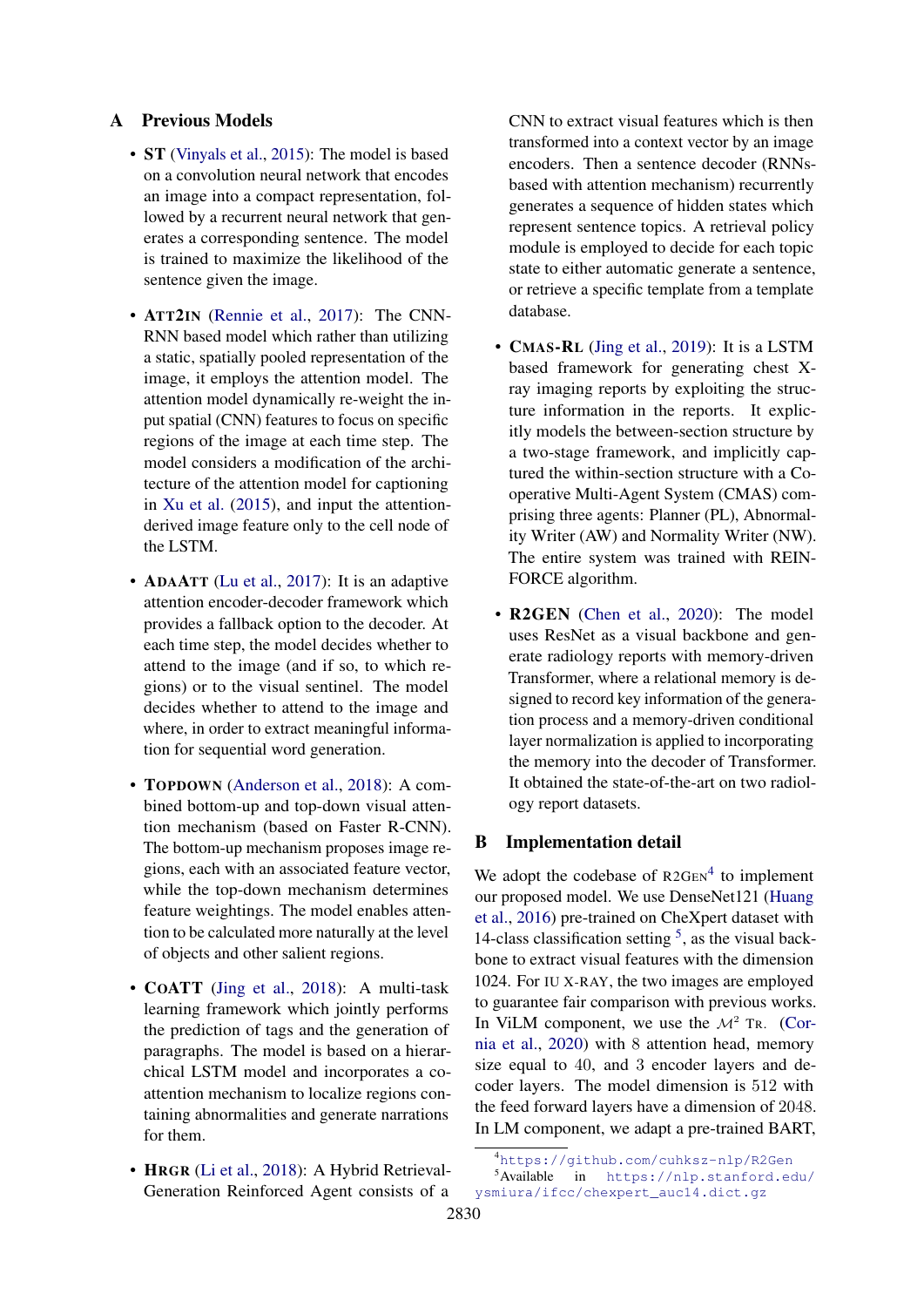# <span id="page-6-0"></span>A Previous Models

- **ST** [\(Vinyals et al.,](#page-5-14) [2015\)](#page-5-14): The model is based on a convolution neural network that encodes an image into a compact representation, followed by a recurrent neural network that generates a corresponding sentence. The model is trained to maximize the likelihood of the sentence given the image.
- ATT2IN [\(Rennie et al.,](#page-5-15) [2017\)](#page-5-15): The CNN-RNN based model which rather than utilizing a static, spatially pooled representation of the image, it employs the attention model. The attention model dynamically re-weight the input spatial (CNN) features to focus on specific regions of the image at each time step. The model considers a modification of the architecture of the attention model for captioning in [Xu et al.](#page-5-19) [\(2015\)](#page-5-19), and input the attentionderived image feature only to the cell node of the LSTM.
- **ADAATT** [\(Lu et al.,](#page-5-16) [2017\)](#page-5-16): It is an adaptive attention encoder-decoder framework which provides a fallback option to the decoder. At each time step, the model decides whether to attend to the image (and if so, to which regions) or to the visual sentinel. The model decides whether to attend to the image and where, in order to extract meaningful information for sequential word generation.
- TOPDOWN [\(Anderson et al.,](#page-4-6) [2018\)](#page-4-6): A combined bottom-up and top-down visual attention mechanism (based on Faster R-CNN). The bottom-up mechanism proposes image regions, each with an associated feature vector, while the top-down mechanism determines feature weightings. The model enables attention to be calculated more naturally at the level of objects and other salient regions.
- **COATT** [\(Jing et al.,](#page-5-0) [2018\)](#page-5-0): A multi-task learning framework which jointly performs the prediction of tags and the generation of paragraphs. The model is based on a hierarchical LSTM model and incorporates a coattention mechanism to localize regions containing abnormalities and generate narrations for them.
- HRGR [\(Li et al.,](#page-5-17) [2018\)](#page-5-17): A Hybrid Retrieval-Generation Reinforced Agent consists of a

CNN to extract visual features which is then transformed into a context vector by an image encoders. Then a sentence decoder (RNNsbased with attention mechanism) recurrently generates a sequence of hidden states which represent sentence topics. A retrieval policy module is employed to decide for each topic state to either automatic generate a sentence, or retrieve a specific template from a template database.

- CMAS-RL [\(Jing et al.,](#page-5-18) [2019\)](#page-5-18): It is a LSTM based framework for generating chest Xray imaging reports by exploiting the structure information in the reports. It explicitly models the between-section structure by a two-stage framework, and implicitly captured the within-section structure with a Cooperative Multi-Agent System (CMAS) comprising three agents: Planner (PL), Abnormality Writer (AW) and Normality Writer (NW). The entire system was trained with REIN-FORCE algorithm.
- R2GEN [\(Chen et al.,](#page-4-0) [2020\)](#page-4-0): The model uses ResNet as a visual backbone and generate radiology reports with memory-driven Transformer, where a relational memory is designed to record key information of the generation process and a memory-driven conditional layer normalization is applied to incorporating the memory into the decoder of Transformer. It obtained the state-of-the-art on two radiology report datasets.

## <span id="page-6-1"></span>B Implementation detail

We adopt the codebase of  $R2GEN<sup>4</sup>$  $R2GEN<sup>4</sup>$  $R2GEN<sup>4</sup>$  to implement our proposed model. We use DenseNet121 [\(Huang](#page-5-4) [et al.,](#page-5-4) [2016\)](#page-5-4) pre-trained on CheXpert dataset with 14-class classification setting  $5$ , as the visual backbone to extract visual features with the dimension 1024. For IU X-RAY, the two images are employed to guarantee fair comparison with previous works. In ViLM component, we use the  $\mathcal{M}^2$  TR. [\(Cor](#page-4-3)[nia et al.,](#page-4-3) [2020\)](#page-4-3) with 8 attention head, memory size equal to 40, and 3 encoder layers and decoder layers. The model dimension is 512 with the feed forward layers have a dimension of 2048. In LM component, we adapt a pre-trained BART,

<span id="page-6-3"></span><span id="page-6-2"></span><sup>4</sup><https://github.com/cuhksz-nlp/R2Gen>

<sup>5</sup>Available in [https://nlp.stanford.edu/](https://nlp.stanford.edu/ysmiura/ifcc/chexpert_auc14.dict.gz) [ysmiura/ifcc/chexpert\\_auc14.dict.gz](https://nlp.stanford.edu/ysmiura/ifcc/chexpert_auc14.dict.gz)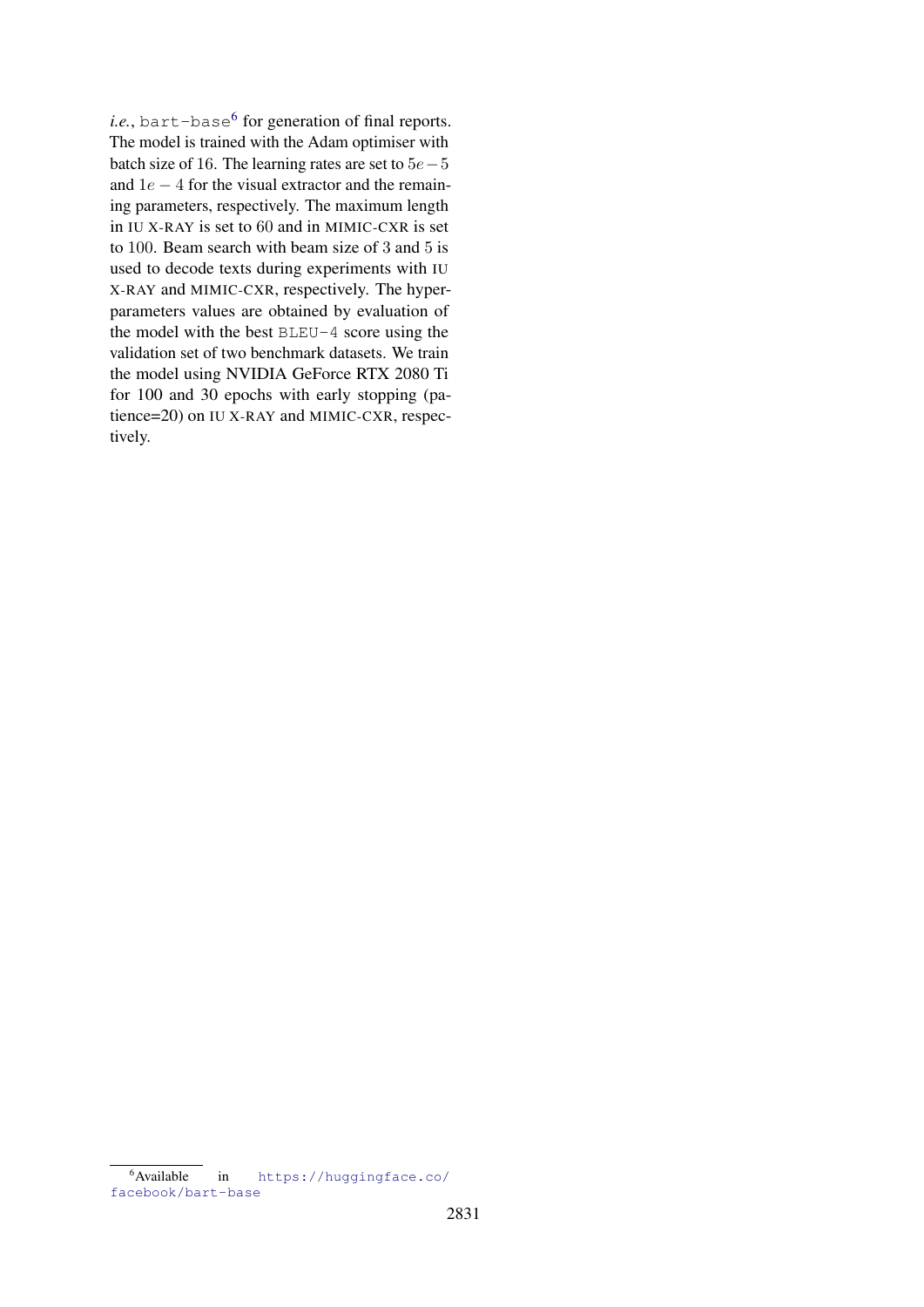$i.e.,$  bart-base<sup>[6](#page-7-0)</sup> for generation of final reports. The model is trained with the Adam optimiser with batch size of 16. The learning rates are set to  $5e-5$ and  $1e - 4$  for the visual extractor and the remaining parameters, respectively. The maximum length in IU X-RAY is set to 60 and in MIMIC-CXR is set to 100. Beam search with beam size of 3 and 5 is used to decode texts during experiments with IU X-RAY and MIMIC-CXR, respectively. The hyperparameters values are obtained by evaluation of the model with the best BLEU-4 score using the validation set of two benchmark datasets. We train the model using NVIDIA GeForce RTX 2080 Ti for 100 and 30 epochs with early stopping (patience=20) on IU X-RAY and MIMIC-CXR, respectively.

<span id="page-7-0"></span><sup>6</sup>Available in [https://huggingface.co/](https://huggingface.co/facebook/bart-base) [facebook/bart-base](https://huggingface.co/facebook/bart-base)